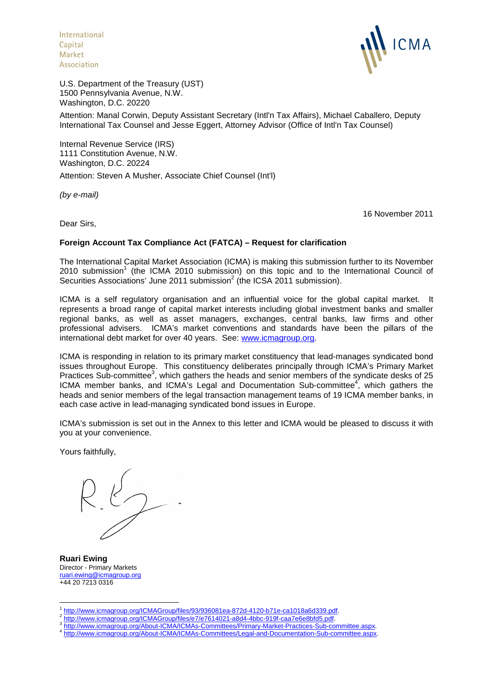International Capital **Market** Association



U.S. Department of the Treasury (UST) 1500 Pennsylvania Avenue, N.W. Washington, D.C. 20220

Attention: Manal Corwin, Deputy Assistant Secretary (Intl'n Tax Affairs), Michael Caballero, Deputy International Tax Counsel and Jesse Eggert, Attorney Advisor (Office of Intl'n Tax Counsel)

Internal Revenue Service (IRS) 1111 Constitution Avenue, N.W. Washington, D.C. 20224

Attention: Steven A Musher, Associate Chief Counsel (Int'l)

*(by e-mail)*

16 November 2011

Dear Sirs,

## **Foreign Account Tax Compliance Act (FATCA) – Request for clarification**

The International Capital Market Association (ICMA) is making this submission further to its November 2010 submission<sup>1</sup> (the ICMA 2010 submission) on this topic and to the International Council of Securities Associations' June 2011 submission $2($ the ICSA 2011 submission).

ICMA is a self regulatory organisation and an influential voice for the global capital market. It represents a broad range of capital market interests including global investment banks and smaller regional banks, as well as asset managers, exchanges, central banks, law firms and other professional advisers. ICMA's market conventions and standards have been the pillars of the international debt market for over 40 years. See: www.icmagroup.org.

ICMA is responding in relation to its primary market constituency that lead-manages syndicated bond issues throughout Europe. This constituency deliberates principally through ICMA's Primary Market Practices Sub-committee<sup>3</sup>, which gathers the heads and senior members of the syndicate desks of 25 ICMA member banks, and ICMA's Legal and Documentation Sub-committee<sup>4</sup>, which gathers the heads and senior members of the legal transaction management teams of 19 ICMA member banks, in each case active in lead-managing syndicated bond issues in Europe.

ICMA's submission is set out in the Annex to this letter and ICMA would be pleased to discuss it with you at your convenience.

Yours faithfully,

**Ruari Ewing** Director - Primary Markets ruari.ewing@icmagroup.org +44 20 7213 0316

<sup>&</sup>lt;sup>1</sup> http://www.icmagroup.org/ICMAGroup/files/93/936081ea-872d-4120-b71e-ca1018a6d339.pdf.<br><sup>2</sup> http://www.icmagroup.org/ICMACroup/files/s7/s7614031.p8d4.4bbe.919f.ees7s6e8bfd5.pdf.

http://www.icmagroup.org/ICMAGroup/files/e7/e7614021-a8d4-4bbc-919f-caa7e6e8bfd5.pdf.  $\overline{2}$ 

http://www.icmagroup.org/About-ICMA/ICMAs-Committees/Primary-Market-Practices-Sub-committee.aspx.

<sup>4</sup> http://www.icmagroup.org/About-ICMA/ICMAs-Committees/Legal-and-Documentation-Sub-committee.aspx.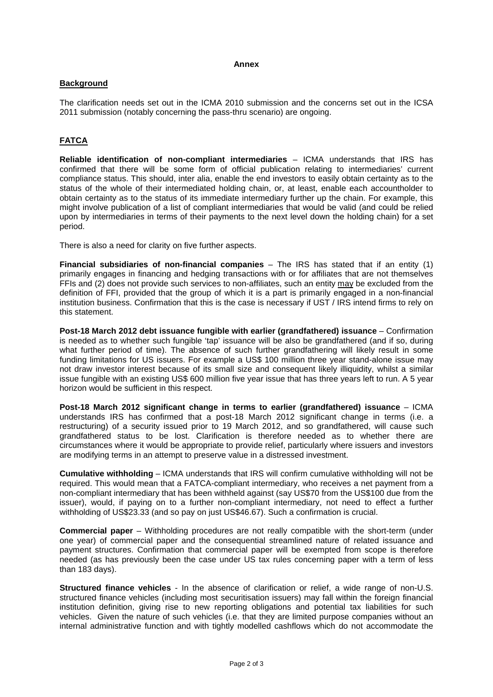#### **Annex**

### **Background**

The clarification needs set out in the ICMA 2010 submission and the concerns set out in the ICSA 2011 submission (notably concerning the pass-thru scenario) are ongoing.

# **FATCA**

**Reliable identification of non-compliant intermediaries** – ICMA understands that IRS has confirmed that there will be some form of official publication relating to intermediaries' current compliance status. This should, inter alia, enable the end investors to easily obtain certainty as to the status of the whole of their intermediated holding chain, or, at least, enable each accountholder to obtain certainty as to the status of its immediate intermediary further up the chain. For example, this might involve publication of a list of compliant intermediaries that would be valid (and could be relied upon by intermediaries in terms of their payments to the next level down the holding chain) for a set period.

There is also a need for clarity on five further aspects.

**Financial subsidiaries of non-financial companies** – The IRS has stated that if an entity (1) primarily engages in financing and hedging transactions with or for affiliates that are not themselves FFIs and (2) does not provide such services to non-affiliates, such an entity may be excluded from the definition of FFI, provided that the group of which it is a part is primarily engaged in a non-financial institution business. Confirmation that this is the case is necessary if UST / IRS intend firms to rely on this statement.

**Post-18 March 2012 debt issuance fungible with earlier (grandfathered) issuance** – Confirmation is needed as to whether such fungible 'tap' issuance will be also be grandfathered (and if so, during what further period of time). The absence of such further grandfathering will likely result in some funding limitations for US issuers. For example a US\$ 100 million three year stand-alone issue may not draw investor interest because of its small size and consequent likely illiquidity, whilst a similar issue fungible with an existing US\$ 600 million five year issue that has three years left to run. A 5 year horizon would be sufficient in this respect.

**Post-18 March 2012 significant change in terms to earlier (grandfathered) issuance** – ICMA understands IRS has confirmed that a post-18 March 2012 significant change in terms (i.e. a restructuring) of a security issued prior to 19 March 2012, and so grandfathered, will cause such grandfathered status to be lost. Clarification is therefore needed as to whether there are circumstances where it would be appropriate to provide relief, particularly where issuers and investors are modifying terms in an attempt to preserve value in a distressed investment.

**Cumulative withholding** – ICMA understands that IRS will confirm cumulative withholding will not be required. This would mean that a FATCA-compliant intermediary, who receives a net payment from a non-compliant intermediary that has been withheld against (say US\$70 from the US\$100 due from the issuer), would, if paying on to a further non-compliant intermediary, not need to effect a further withholding of US\$23.33 (and so pay on just US\$46.67). Such a confirmation is crucial.

**Commercial paper** – Withholding procedures are not really compatible with the short-term (under one year) of commercial paper and the consequential streamlined nature of related issuance and payment structures. Confirmation that commercial paper will be exempted from scope is therefore needed (as has previously been the case under US tax rules concerning paper with a term of less than 183 days).

**Structured finance vehicles** - In the absence of clarification or relief, a wide range of non-U.S. structured finance vehicles (including most securitisation issuers) may fall within the foreign financial institution definition, giving rise to new reporting obligations and potential tax liabilities for such vehicles. Given the nature of such vehicles (i.e. that they are limited purpose companies without an internal administrative function and with tightly modelled cashflows which do not accommodate the